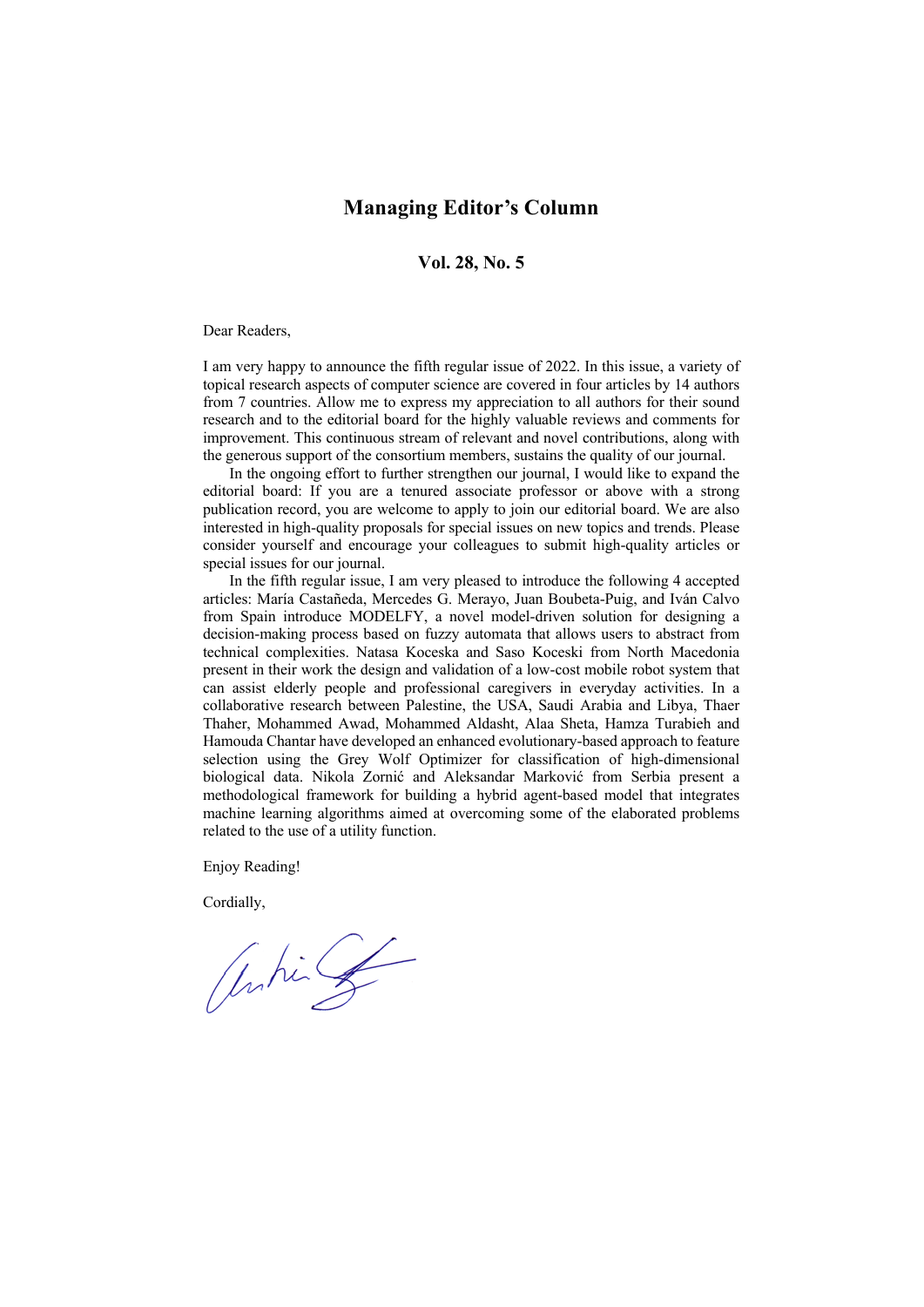## **Managing Editor's Column**

## **Vol. 28, No. 5**

## Dear Readers,

I am very happy to announce the fifth regular issue of 2022. In this issue, a variety of topical research aspects of computer science are covered in four articles by 14 authors from 7 countries. Allow me to express my appreciation to all authors for their sound research and to the editorial board for the highly valuable reviews and comments for improvement. This continuous stream of relevant and novel contributions, along with the generous support of the consortium members, sustains the quality of our journal.

In the ongoing effort to further strengthen our journal, I would like to expand the editorial board: If you are a tenured associate professor or above with a strong publication record, you are welcome to apply to join our editorial board. We are also interested in high-quality proposals for special issues on new topics and trends. Please consider yourself and encourage your colleagues to submit high-quality articles or special issues for our journal.

In the fifth regular issue, I am very pleased to introduce the following 4 accepted articles: María Castañeda, Mercedes G. Merayo, Juan Boubeta-Puig, and Iván Calvo from Spain introduce MODELFY, a novel model-driven solution for designing a decision-making process based on fuzzy automata that allows users to abstract from technical complexities. Natasa Koceska and Saso Koceski from North Macedonia present in their work the design and validation of a low-cost mobile robot system that can assist elderly people and professional caregivers in everyday activities. In a collaborative research between Palestine, the USA, Saudi Arabia and Libya, Thaer Thaher, Mohammed Awad, Mohammed Aldasht, Alaa Sheta, Hamza Turabieh and Hamouda Chantar have developed an enhanced evolutionary-based approach to feature selection using the Grey Wolf Optimizer for classification of high-dimensional biological data. Nikola Zornić and Aleksandar Marković from Serbia present a methodological framework for building a hybrid agent-based model that integrates machine learning algorithms aimed at overcoming some of the elaborated problems related to the use of a utility function.

Enjoy Reading!

Cordially,

Ontin of